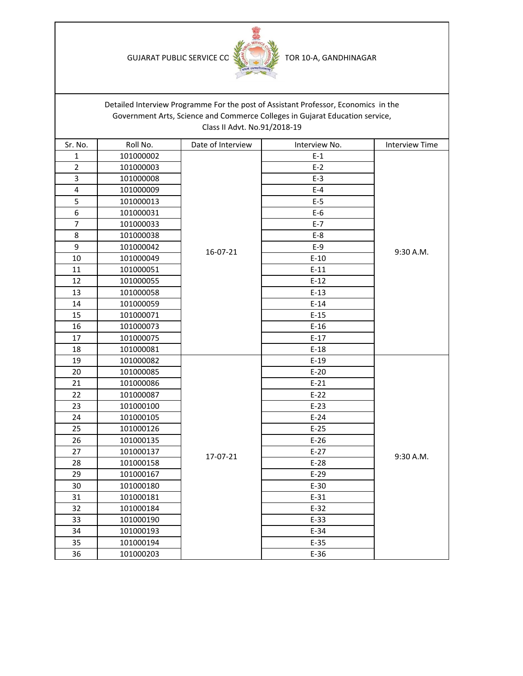GUJARAT PUBLIC SERVICE CC **MELLET TOR 10-A, GANDHINAGAR** 



|                |           |                              | Detailed Interview Programme For the post of Assistant Professor, Economics in the |                       |
|----------------|-----------|------------------------------|------------------------------------------------------------------------------------|-----------------------|
|                |           |                              | Government Arts, Science and Commerce Colleges in Gujarat Education service,       |                       |
|                |           | Class II Advt. No.91/2018-19 |                                                                                    |                       |
| Sr. No.        | Roll No.  | Date of Interview            | Interview No.                                                                      | <b>Interview Time</b> |
| $\mathbf{1}$   | 101000002 | 16-07-21                     | $E-1$                                                                              |                       |
| $\overline{2}$ | 101000003 |                              | $E-2$                                                                              |                       |
| 3              | 101000008 |                              | $E-3$                                                                              |                       |
| 4              | 101000009 |                              | $E-4$                                                                              |                       |
| 5              | 101000013 |                              | $E-5$                                                                              |                       |
| 6              | 101000031 |                              | $E-6$                                                                              |                       |
| $\overline{7}$ | 101000033 |                              | $E-7$                                                                              |                       |
| 8              | 101000038 |                              | $E-8$                                                                              |                       |
| 9              | 101000042 |                              | $E-9$                                                                              |                       |
| 10             | 101000049 |                              | $E-10$                                                                             | 9:30 A.M.             |
| $11\,$         | 101000051 |                              | $E-11$                                                                             |                       |
| 12             | 101000055 |                              | $E-12$                                                                             |                       |
| 13             | 101000058 |                              | $E-13$                                                                             |                       |
| 14             | 101000059 |                              | $E-14$                                                                             |                       |
| 15             | 101000071 |                              | $E-15$                                                                             |                       |
| 16             | 101000073 |                              | $E-16$                                                                             |                       |
| 17             | 101000075 |                              | $E-17$                                                                             |                       |
| 18             | 101000081 |                              | $E-18$                                                                             |                       |
| 19             | 101000082 |                              | $E-19$                                                                             |                       |
| 20             | 101000085 |                              | $E-20$                                                                             |                       |
| 21             | 101000086 |                              | $E-21$                                                                             |                       |
| 22             | 101000087 |                              | $E-22$                                                                             |                       |
| 23             | 101000100 |                              | $E-23$                                                                             |                       |
| 24             | 101000105 | 17-07-21                     | $E-24$                                                                             |                       |
| 25             | 101000126 |                              | $E-25$                                                                             |                       |
| 26             | 101000135 |                              | $E-26$                                                                             |                       |
| 27             | 101000137 |                              | $E-27$                                                                             | 9:30 A.M.             |
| 28             | 101000158 |                              | $E-28$                                                                             |                       |
| 29             | 101000167 |                              | $E-29$                                                                             |                       |
| 30             | 101000180 |                              | $E-30$                                                                             |                       |
| 31             | 101000181 |                              | $E-31$                                                                             |                       |
| 32             | 101000184 |                              | $E-32$                                                                             |                       |
| 33             | 101000190 |                              | $E-33$                                                                             |                       |
| 34             | 101000193 |                              | $E-34$                                                                             |                       |
| 35             | 101000194 |                              | $E-35$                                                                             |                       |
| 36             | 101000203 |                              | $E-36$                                                                             |                       |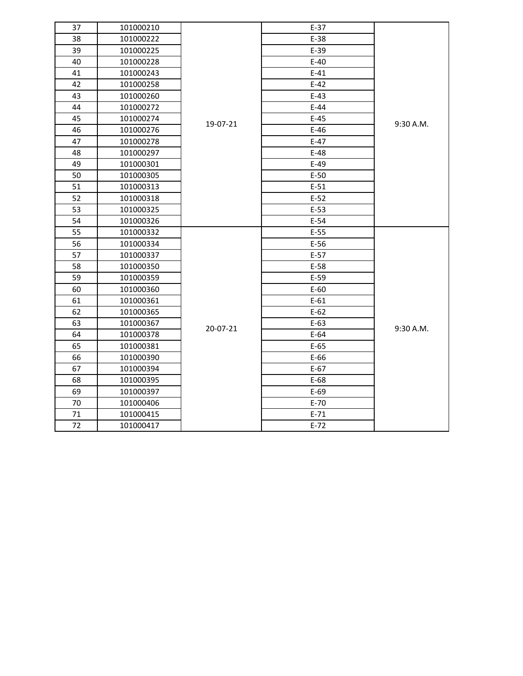| 37 | 101000210 |          | $E-37$ |             |
|----|-----------|----------|--------|-------------|
| 38 | 101000222 |          | $E-38$ |             |
| 39 | 101000225 |          | $E-39$ |             |
| 40 | 101000228 |          | $E-40$ |             |
| 41 | 101000243 |          | $E-41$ |             |
| 42 | 101000258 |          | $E-42$ | 9:30 A.M.   |
| 43 | 101000260 |          | $E-43$ |             |
| 44 | 101000272 |          | $E-44$ |             |
| 45 | 101000274 |          | $E-45$ |             |
| 46 | 101000276 | 19-07-21 | $E-46$ |             |
| 47 | 101000278 |          | $E-47$ |             |
| 48 | 101000297 |          | $E-48$ |             |
| 49 | 101000301 |          | $E-49$ |             |
| 50 | 101000305 |          | $E-50$ |             |
| 51 | 101000313 |          | $E-51$ |             |
| 52 | 101000318 |          | $E-52$ |             |
| 53 | 101000325 |          | $E-53$ |             |
| 54 | 101000326 |          | $E-54$ |             |
| 55 | 101000332 |          | $E-55$ |             |
| 56 | 101000334 |          | $E-56$ |             |
| 57 | 101000337 |          | $E-57$ |             |
| 58 | 101000350 |          | $E-58$ |             |
| 59 | 101000359 |          | $E-59$ |             |
| 60 | 101000360 |          | $E-60$ |             |
| 61 | 101000361 |          | $E-61$ |             |
| 62 | 101000365 | 20-07-21 | $E-62$ |             |
| 63 | 101000367 |          | $E-63$ | $9:30$ A.M. |
| 64 | 101000378 |          | $E-64$ |             |
| 65 | 101000381 |          | $E-65$ |             |
| 66 | 101000390 |          | $E-66$ |             |
| 67 | 101000394 |          | $E-67$ |             |
| 68 | 101000395 |          | $E-68$ |             |
| 69 | 101000397 |          | $E-69$ |             |
| 70 | 101000406 |          | $E-70$ |             |
| 71 | 101000415 |          | $E-71$ |             |
| 72 | 101000417 |          | $E-72$ |             |
|    |           |          |        |             |